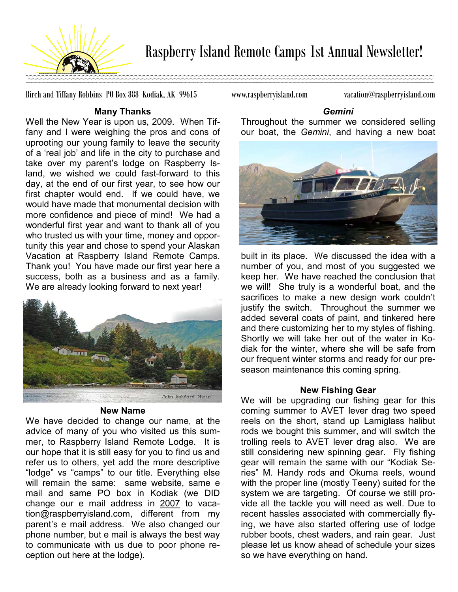

Birch and Tiffany Robbins PO Box 888 Kodiak, AK 99615 www.raspberryisland.com vacation@raspberryisland.com

## Many Thanks

Well the New Year is upon us, 2009. When Tiffany and I were weighing the pros and cons of uprooting our young family to leave the security of a 'real job' and life in the city to purchase and take over my parent's lodge on Raspberry Island, we wished we could fast-forward to this day, at the end of our first year, to see how our first chapter would end. If we could have, we would have made that monumental decision with more confidence and piece of mind! We had a wonderful first year and want to thank all of you who trusted us with your time, money and opportunity this year and chose to spend your Alaskan Vacation at Raspberry Island Remote Camps. Thank you! You have made our first year here a success, both as a business and as a family. We are already looking forward to next year!



# New Name

We have decided to change our name, at the advice of many of you who visited us this summer, to Raspberry Island Remote Lodge. It is our hope that it is still easy for you to find us and refer us to others, yet add the more descriptive "lodge" vs "camps" to our title. Everything else will remain the same: same website, same e mail and same PO box in Kodiak (we DID change our e mail address in 2007 to vacation@raspberryisland.com, different from my parent's e mail address. We also changed our phone number, but e mail is always the best way to communicate with us due to poor phone reception out here at the lodge).

Gemini

Throughout the summer we considered selling our boat, the Gemini, and having a new boat



built in its place. We discussed the idea with a number of you, and most of you suggested we keep her. We have reached the conclusion that we will! She truly is a wonderful boat, and the sacrifices to make a new design work couldn't justify the switch. Throughout the summer we added several coats of paint, and tinkered here and there customizing her to my styles of fishing. Shortly we will take her out of the water in Kodiak for the winter, where she will be safe from our frequent winter storms and ready for our preseason maintenance this coming spring.

# New Fishing Gear

We will be upgrading our fishing gear for this coming summer to AVET lever drag two speed reels on the short, stand up Lamiglass halibut rods we bought this summer, and will switch the trolling reels to AVET lever drag also. We are still considering new spinning gear. Fly fishing gear will remain the same with our "Kodiak Series" M. Handy rods and Okuma reels, wound with the proper line (mostly Teeny) suited for the system we are targeting. Of course we still provide all the tackle you will need as well. Due to recent hassles associated with commercially flying, we have also started offering use of lodge rubber boots, chest waders, and rain gear. Just please let us know ahead of schedule your sizes so we have everything on hand.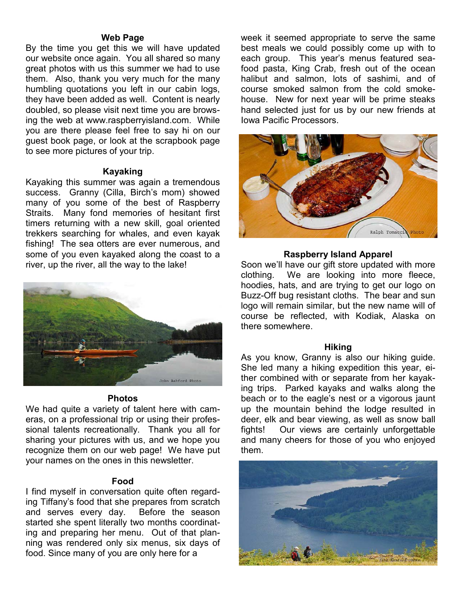### Web Page

By the time you get this we will have updated our website once again. You all shared so many great photos with us this summer we had to use them. Also, thank you very much for the many humbling quotations you left in our cabin logs, they have been added as well. Content is nearly doubled, so please visit next time you are browsing the web at www.raspberryisland.com. While you are there please feel free to say hi on our guest book page, or look at the scrapbook page to see more pictures of your trip.

## Kayaking

Kayaking this summer was again a tremendous success. Granny (Cilla, Birch's mom) showed many of you some of the best of Raspberry Straits. Many fond memories of hesitant first timers returning with a new skill, goal oriented trekkers searching for whales, and even kayak fishing! The sea otters are ever numerous, and some of you even kayaked along the coast to a river, up the river, all the way to the lake!



## Photos

We had quite a variety of talent here with cameras, on a professional trip or using their professional talents recreationally. Thank you all for sharing your pictures with us, and we hope you recognize them on our web page! We have put your names on the ones in this newsletter.

## Food

I find myself in conversation quite often regarding Tiffany's food that she prepares from scratch and serves every day. Before the season started she spent literally two months coordinating and preparing her menu. Out of that planning was rendered only six menus, six days of food. Since many of you are only here for a

week it seemed appropriate to serve the same best meals we could possibly come up with to each group. This year's menus featured seafood pasta, King Crab, fresh out of the ocean halibut and salmon, lots of sashimi, and of course smoked salmon from the cold smokehouse. New for next year will be prime steaks hand selected just for us by our new friends at Iowa Pacific Processors.



### Raspberry Island Apparel

Soon we'll have our gift store updated with more clothing. We are looking into more fleece, hoodies, hats, and are trying to get our logo on Buzz-Off bug resistant cloths. The bear and sun logo will remain similar, but the new name will of course be reflected, with Kodiak, Alaska on there somewhere.

#### Hiking

As you know, Granny is also our hiking guide. She led many a hiking expedition this year, either combined with or separate from her kayaking trips. Parked kayaks and walks along the beach or to the eagle's nest or a vigorous jaunt up the mountain behind the lodge resulted in deer, elk and bear viewing, as well as snow ball fights! Our views are certainly unforgettable and many cheers for those of you who enjoyed them.

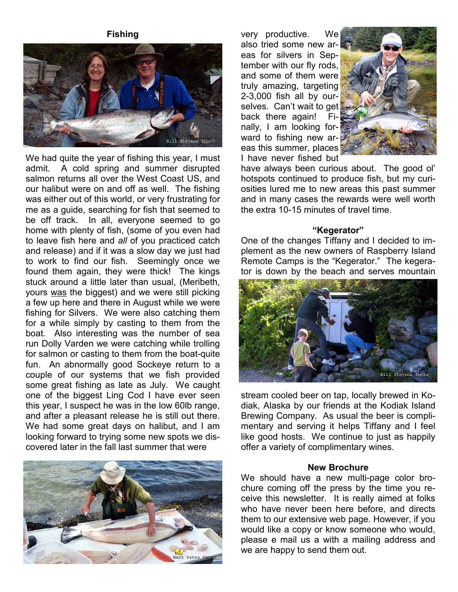## Fishing



We had quite the year of fishing this year, I must admit. A cold spring and summer disrupted salmon returns all over the West Coast US, and our halibut were on and off as well. The fishing was either out of this world, or very frustrating for me as a guide, searching for fish that seemed to be off track. In all, everyone seemed to go home with plenty of fish, (some of you even had to leave fish here and all of you practiced catch and release) and if it was a slow day we just had to work to find our fish. Seemingly once we found them again, they were thick! The kings stuck around a little later than usual, (Meribeth, yours was the biggest) and we were still picking a few up here and there in August while we were fishing for Silvers. We were also catching them for a while simply by casting to them from the boat. Also interesting was the number of sea run Dolly Varden we were catching while trolling for salmon or casting to them from the boat-quite fun. An abnormally good Sockeye return to a couple of our systems that we fish provided some great fishing as late as July. We caught one of the biggest Ling Cod I have ever seen this year, I suspect he was in the low 60lb range, and after a pleasant release he is still out there. We had some great days on halibut, and I am looking forward to trying some new spots we discovered later in the fall last summer that were



very productive. We also tried some new areas for silvers in September with our fly rods, and some of them were truly amazing, targeting 2-3,000 fish all by ourselves. Can't wait to get back there again! Finally, I am looking forward to fishing new areas this summer, places I have never fished but



have always been curious about. The good ol' hotspots continued to produce fish, but my curiosities lured me to new areas this past summer and in many cases the rewards were well worth the extra 10-15 minutes of travel time.

#### "Kegerator"

One of the changes Tiffany and I decided to implement as the new owners of Raspberry Island Remote Camps is the "Kegerator." The kegerator is down by the beach and serves mountain



stream cooled beer on tap, locally brewed in Kodiak, Alaska by our friends at the Kodiak Island Brewing Company. As usual the beer is complimentary and serving it helps Tiffany and I feel like good hosts. We continue to just as happily offer a variety of complimentary wines.

## New Brochure

We should have a new multi-page color brochure coming off the press by the time you receive this newsletter. It is really aimed at folks who have never been here before, and directs them to our extensive web page. However, if you would like a copy or know someone who would, please e mail us a with a mailing address and we are happy to send them out.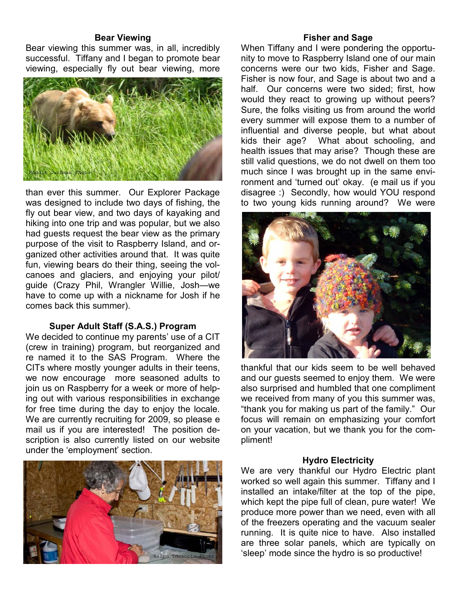### Bear Viewing

Bear viewing this summer was, in all, incredibly successful. Tiffany and I began to promote bear viewing, especially fly out bear viewing, more



than ever this summer. Our Explorer Package was designed to include two days of fishing, the fly out bear view, and two days of kayaking and hiking into one trip and was popular, but we also had guests request the bear view as the primary purpose of the visit to Raspberry Island, and organized other activities around that. It was quite fun, viewing bears do their thing, seeing the volcanoes and glaciers, and enjoying your pilot/ guide (Crazy Phil, Wrangler Willie, Josh—we have to come up with a nickname for Josh if he comes back this summer).

## Super Adult Staff (S.A.S.) Program

We decided to continue my parents' use of a CIT (crew in training) program, but reorganized and re named it to the SAS Program. Where the CITs where mostly younger adults in their teens, we now encourage more seasoned adults to join us on Raspberry for a week or more of helping out with various responsibilities in exchange for free time during the day to enjoy the locale. We are currently recruiting for 2009, so please e mail us if you are interested! The position description is also currently listed on our website under the 'employment' section.



## Fisher and Sage

When Tiffany and I were pondering the opportunity to move to Raspberry Island one of our main concerns were our two kids, Fisher and Sage. Fisher is now four, and Sage is about two and a half. Our concerns were two sided; first, how would they react to growing up without peers? Sure, the folks visiting us from around the world every summer will expose them to a number of influential and diverse people, but what about kids their age? What about schooling, and health issues that may arise? Though these are still valid questions, we do not dwell on them too much since I was brought up in the same environment and 'turned out' okay. (e mail us if you disagree :) Secondly, how would YOU respond to two young kids running around? We were



thankful that our kids seem to be well behaved and our guests seemed to enjoy them. We were also surprised and humbled that one compliment we received from many of you this summer was, "thank you for making us part of the family." Our focus will remain on emphasizing your comfort on your vacation, but we thank you for the compliment!

### Hydro Electricity

We are very thankful our Hydro Electric plant worked so well again this summer. Tiffany and I installed an intake/filter at the top of the pipe, which kept the pipe full of clean, pure water! We produce more power than we need, even with all of the freezers operating and the vacuum sealer running. It is quite nice to have. Also installed are three solar panels, which are typically on 'sleep' mode since the hydro is so productive!